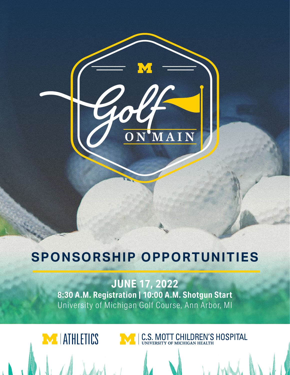# **SPONSORSHIP OPPORTUNITIES**

**JUNE 17, 2022 8:30 A.M. Registration | 10:00 A.M. Shotgun Start** University of Michigan Golf Course, Ann Arbor, MI

MIATHLETICS

MI C.S. MOTT CHILDREN'S HOSPITAL

MAIN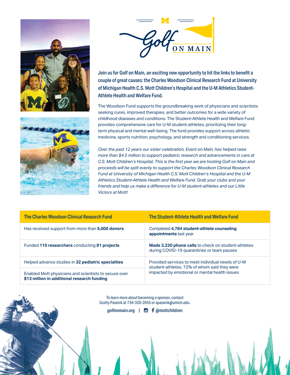





Join us for Golf on Main, an exciting new opportunity to hit the links to benefit a couple of great causes: the Charles Woodson Clinical Research Fund at University of Michigan Health C.S. Mott Children's Hospital and the U-M Athletics Student-Athlete Health and Welfare Fund.

The Woodson Fund supports the groundbreaking work of physicians and scientists seeking cures, improved therapies, and better outcomes for a wide variety of childhood diseases and conditions. The Student-Athlete Health and Welfare Fund provides comprehensive care for U-M student-athletes, prioritizing their longterm physical and mental well-being. The fund provides support across athletic medicine, sports nutrition, psychology, and strength and conditioning services.

*Over the past 12 years our sister celebration, Event on Main, has helped raise more than \$4.5 million to support pediatric research and advancements in care at C.S. Mott Children's Hospital. This is the first year we are hosting Golf on Main and proceeds will be split evenly to support the Charles Woodson Clinical Research Fund at University of Michigan Health C.S. Mott Children's Hospital and the U-M Athletics Student-Athlete Health and Welfare Fund. Grab your clubs and your friends and help us make a difference for U-M student-athletes and our Little Victors at Mott!*

| The Charles Woodson Clinical Research Fund                                                           | The Student-Athlete Health and Welfare Fund                                                              |
|------------------------------------------------------------------------------------------------------|----------------------------------------------------------------------------------------------------------|
| Has received support from more than 5,000 donors                                                     | Completed 4,784 student-athlete counseling<br>appointments last year                                     |
| Funded 110 researchers conducting 81 projects                                                        | <b>Made 2,220 phone calls</b> to check on student-athletes<br>during COVID-19 quarantines or team pauses |
| Helped advance studies in 32 pediatric specialties                                                   | Provided services to meet individual needs of U-M<br>student-athletes, 72% of whom said they were        |
| Enabled Mott physicians and scientists to secure over<br>\$13 million in additional research funding | impacted by emotional or mental health issues                                                            |

To learn more about becoming a sponsor, contact Scotty Passink at 734-320-2655 or spassink@umich.edu.

[golfonmain.org](http://golfonmain.org) | **D f** @mottchildren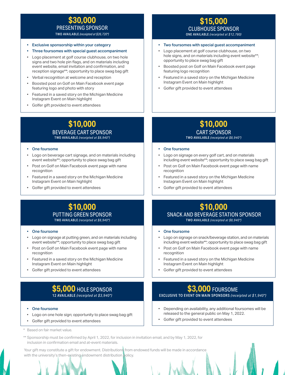# **\$30,000**  PRESENTING SPONSOR

TWO AVAILABLE *(receipted at \$26,720\*)* 

- Exclusive sponsorship within your category
- Three foursomes with special guest accompaniment
- Logo placement at golf course clubhouse, on two hole signs and two hole pin flags, and on materials including event website, email invitation and confirmation, and reception signage\*\*; opportunity to place swag bag gift
- Verbal recognition at welcome and reception
- Boosted post on Golf on Main Facebook event page featuring logo and photo with story
- Featured in a saved story on the Michigan Medicine Instagram Event on Main highlight
- Golfer gift provided to event attendees

# **\$10,000**  BEVERAGE CART SPONSOR

TWO AVAILABLE *(receipted at \$8,940\*)*

#### • One foursome

- Logo on beverage cart signage, and on materials including event website\*\*; opportunity to place swag bag gift
- Post on Golf on Main Facebook event page with name recognition
- Featured in a saved story on the Michigan Medicine Instagram Event on Main highlight
- Golfer gift provided to event attendees

## **\$15,000**  CLUBHOUSE SPONSOR ONE AVAILABLE *(receipted at \$12,780)*

- Two foursomes with special guest accompaniment
- Logo placement at golf course clubhouse, on two hole signs, and on materials including event website\*\*; opportunity to place swag bag gift
- Boosted post on Golf on Main Facebook event page featuring logo recognition
- Featured in a saved story on the Michigan Medicine Instagram Event on Main highlight
- Golfer gift provided to event attendees

# **\$10,000**

### CART SPONSOR

#### TWO AVAILABLE *(receipted at \$8,940\*)*

- **One foursome**
- Logo on signage on every golf cart, and on materials including event website\*\*; opportunity to place swag bag gift
- Post on Golf on Main Facebook event page with name recognition
- Featured in a saved story on the Michigan Medicine Instagram Event on Main highlight
- Golfer gift provided to event attendees

## **\$10,000**  PUTTING GREEN SPONSOR TWO AVAILABLE *(receipted at \$8,940\*)*

#### • One foursome

- Logo on signage at putting green, and on materials including event website\*\*; opportunity to place swag bag gift
- Post on Golf on Main Facebook event page with name recognition
- Featured in a saved story on the Michigan Medicine Instagram Event on Main highlight
- Golfer gift provided to event attendees

# **\$5,000** HOLE SPONSOR 12 AVAILABLE *(receipted at \$3,940\*)*

#### • One foursome

- Logo on one hole sign; opportunity to place swag bag gift
- Golfer gift provided to event attendees

Based on fair market value.

\*\* Sponsorship must be confirmed by April 1, 2022, for inclusion in invitation email, and by May 1, 2022, for inclusion in confirmation email and at-event materials.

Your gift may constitute a gift for endowment. Distributions from endowed funds will be made in accordance with the university's then-existing endowment distribution policy.

# **\$10,000**  SNACK AND BEVERAGE STATION SPONSOR TWO AVAILABLE *(receipted at \$8,940\*)*

#### One foursome

- Logo on signage on snack/beverage station, and on materials including event website\*\*; opportunity to place swag bag gift
- Post on Golf on Main Facebook event page with name recognition
- Featured in a saved story on the Michigan Medicine Instagram Event on Main highlight
- Golfer gift provided to event attendees

## **\$3,000** FOURSOME EXCLUSIVE TO EVENT ON MAIN SPONSORS *(receipted at \$1,940\*)*

- Depending on availability, any additional foursomes will be released to the general public on May 1, 2022.
- Golfer gift provided to event attendees